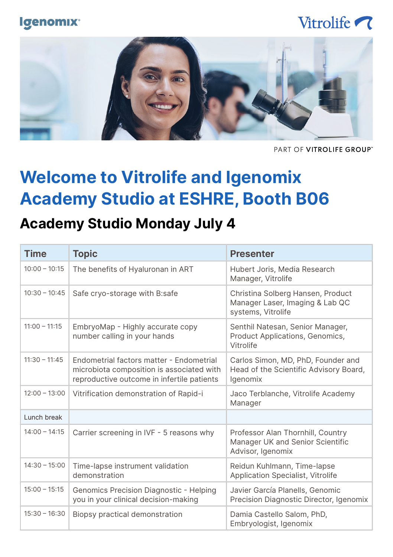#### **Igenomix**<sup>®</sup>

### Vitrolife ?



PART OF VITROLIFE GROUP"

# **Welcome to Vitrolife and Igenomix Academy Studio at ESHRE, Booth B06**

#### **Academy Studio Monday July 4**

| <b>Time</b>     | <b>Topic</b>                                                                                                                        | <b>Presenter</b>                                                                                |
|-----------------|-------------------------------------------------------------------------------------------------------------------------------------|-------------------------------------------------------------------------------------------------|
| $10:00 - 10:15$ | The benefits of Hyaluronan in ART                                                                                                   | Hubert Joris, Media Research<br>Manager, Vitrolife                                              |
| $10:30 - 10:45$ | Safe cryo-storage with B:safe                                                                                                       | Christina Solberg Hansen, Product<br>Manager Laser, Imaging & Lab QC<br>systems, Vitrolife      |
| $11:00 - 11:15$ | EmbryoMap - Highly accurate copy<br>number calling in your hands                                                                    | Senthil Natesan, Senior Manager,<br>Product Applications, Genomics,<br>Vitrolife                |
| $11:30 - 11:45$ | Endometrial factors matter - Endometrial<br>microbiota composition is associated with<br>reproductive outcome in infertile patients | Carlos Simon, MD, PhD, Founder and<br>Head of the Scientific Advisory Board,<br><i>Igenomix</i> |
| $12:00 - 13:00$ | Vitrification demonstration of Rapid-i                                                                                              | Jaco Terblanche, Vitrolife Academy<br>Manager                                                   |
| Lunch break     |                                                                                                                                     |                                                                                                 |
| $14:00 - 14:15$ | Carrier screening in IVF - 5 reasons why                                                                                            | Professor Alan Thornhill, Country<br>Manager UK and Senior Scientific<br>Advisor, Igenomix      |
| $14:30 - 15:00$ | Time-lapse instrument validation<br>demonstration                                                                                   | Reidun Kuhlmann, Time-lapse<br>Application Specialist, Vitrolife                                |
| $15:00 - 15:15$ | Genomics Precision Diagnostic - Helping<br>you in your clinical decision-making                                                     | Javier García Planells, Genomic<br>Precision Diagnostic Director, Igenomix                      |
| $15:30 - 16:30$ | Biopsy practical demonstration                                                                                                      | Damia Castello Salom, PhD,<br>Embryologist, Igenomix                                            |